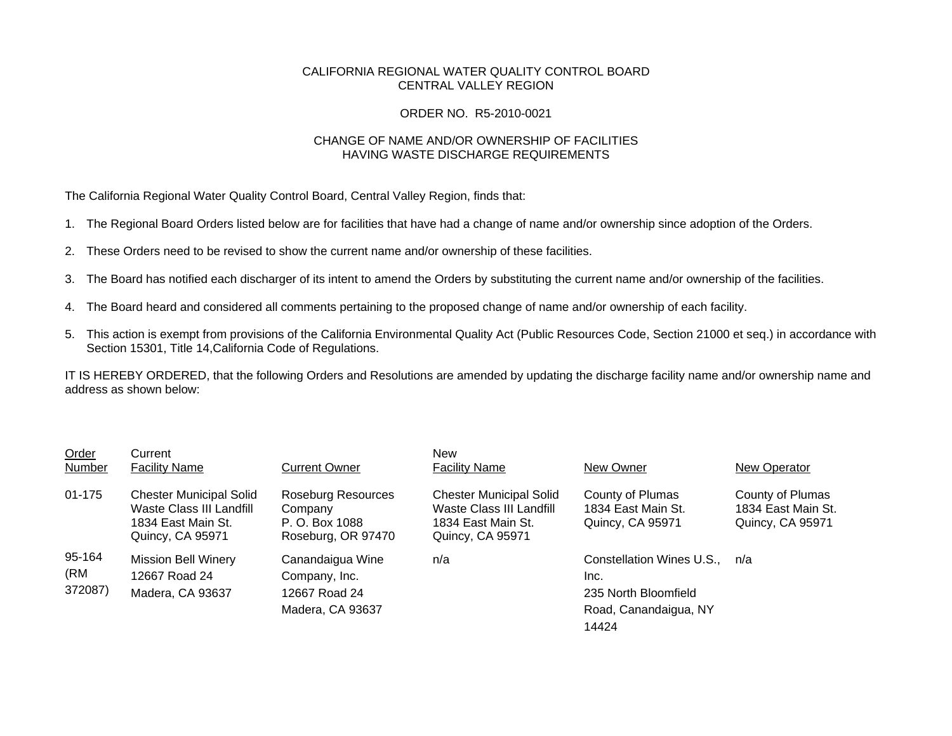## CALIFORNIA REGIONAL WATER QUALITY CONTROL BOARD CENTRAL VALLEY REGION

## ORDER NO. R5-2010-0021

## CHANGE OF NAME AND/OR OWNERSHIP OF FACILITIES HAVING WASTE DISCHARGE REQUIREMENTS

The California Regional Water Quality Control Board, Central Valley Region, finds that:

- 1. The Regional Board Orders listed below are for facilities that have had a change of name and/or ownership since adoption of the Orders.
- 2. These Orders need to be revised to show the current name and/or ownership of these facilities.
- 3. The Board has notified each discharger of its intent to amend the Orders by substituting the current name and/or ownership of the facilities.
- 4. The Board heard and considered all comments pertaining to the proposed change of name and/or ownership of each facility.
- 5. This action is exempt from provisions of the California Environmental Quality Act (Public Resources Code, Section 21000 et seq.) in accordance with Section 15301, Title 14,California Code of Regulations.

IT IS HEREBY ORDERED, that the following Orders and Resolutions are amended by updating the discharge facility name and/or ownership name and address as shown below:

| Order                    | Current                                                                                              |                                                                              | <b>New</b>                                                                                                  |                                                                                             |                                                            |
|--------------------------|------------------------------------------------------------------------------------------------------|------------------------------------------------------------------------------|-------------------------------------------------------------------------------------------------------------|---------------------------------------------------------------------------------------------|------------------------------------------------------------|
| Number                   | <b>Facility Name</b>                                                                                 | <b>Current Owner</b>                                                         | <b>Facility Name</b>                                                                                        | New Owner                                                                                   | New Operator                                               |
| 01-175                   | <b>Chester Municipal Solid</b><br>Waste Class III Landfill<br>1834 East Main St.<br>Quincy, CA 95971 | <b>Roseburg Resources</b><br>Company<br>P. O. Box 1088<br>Roseburg, OR 97470 | <b>Chester Municipal Solid</b><br>Waste Class III Landfill<br>1834 East Main St.<br><b>Quincy, CA 95971</b> | County of Plumas<br>1834 East Main St.<br>Quincy, CA 95971                                  | County of Plumas<br>1834 East Main St.<br>Quincy, CA 95971 |
| 95-164<br>(RM<br>372087) | <b>Mission Bell Winery</b><br>12667 Road 24<br>Madera, CA 93637                                      | Canandaigua Wine<br>Company, Inc.<br>12667 Road 24<br>Madera, CA 93637       | n/a                                                                                                         | Constellation Wines U.S.,<br>Inc.<br>235 North Bloomfield<br>Road, Canandaigua, NY<br>14424 | n/a                                                        |